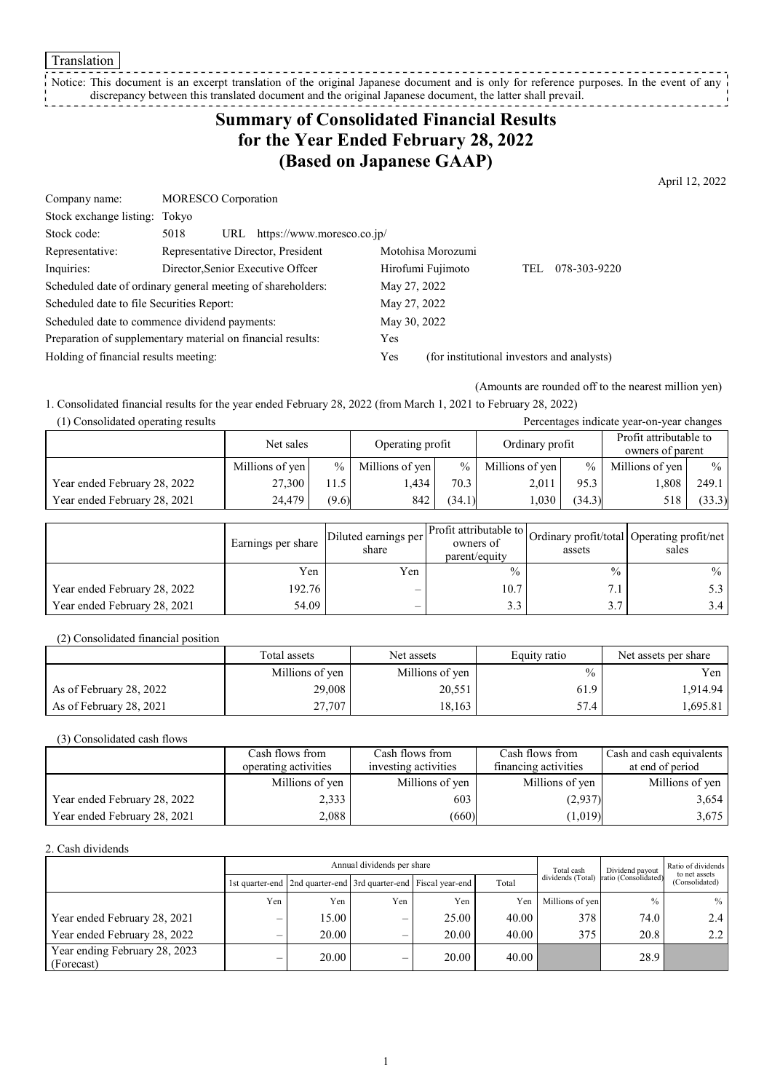**Translation** 

#### Notice: This document is an excerpt translation of the original Japanese document and is only for reference purposes. In the event of any discrepancy between this translated document and the original Japanese document, the latter shall prevail. \_ \_ \_ \_ \_ \_ \_ \_

# **Summary of Consolidated Financial Results for the Year Ended February 28, 2022 (Based on Japanese GAAP)**

April 12, 2022

| Company name:                                               | <b>MORESCO</b> Corporation         |                                |              |                                            |     |              |  |
|-------------------------------------------------------------|------------------------------------|--------------------------------|--------------|--------------------------------------------|-----|--------------|--|
| Stock exchange listing: Tokyo                               |                                    |                                |              |                                            |     |              |  |
| Stock code:                                                 | 5018                               | URL https://www.moresco.co.jp/ |              |                                            |     |              |  |
| Representative:                                             | Representative Director, President |                                |              | Motohisa Morozumi                          |     |              |  |
| Inquiries:                                                  | Director, Senior Executive Offcer  |                                |              | Hirofumi Fujimoto                          | TEL | 078-303-9220 |  |
| Scheduled date of ordinary general meeting of shareholders: |                                    |                                | May 27, 2022 |                                            |     |              |  |
| Scheduled date to file Securities Report:                   |                                    |                                | May 27, 2022 |                                            |     |              |  |
| Scheduled date to commence dividend payments:               |                                    |                                | May 30, 2022 |                                            |     |              |  |
| Preparation of supplementary material on financial results: |                                    |                                | Yes          |                                            |     |              |  |
| Holding of financial results meeting:                       |                                    |                                | Yes          | (for institutional investors and analysts) |     |              |  |
|                                                             |                                    |                                |              |                                            |     |              |  |

(Amounts are rounded off to the nearest million yen)

1. Consolidated financial results for the year ended February 28, 2022 (from March 1, 2021 to February 28, 2022)

|  | (1) Consolidated operating results |
|--|------------------------------------|
|  |                                    |

| (1) Consolidated operating results<br>Percentages indicate year-on-year changes |                 |       |                  |               |                 |        |                                            |        |
|---------------------------------------------------------------------------------|-----------------|-------|------------------|---------------|-----------------|--------|--------------------------------------------|--------|
|                                                                                 | Net sales       |       | Operating profit |               | Ordinary profit |        | Profit attributable to<br>owners of parent |        |
|                                                                                 | Millions of yen | $\%$  | Millions of yen  | $\frac{0}{0}$ | Millions of yen | $\%$   | Millions of yen                            | $\%$   |
| Year ended February 28, 2022                                                    | 27,300          | 11.5  | .434             | 70.3          | 2.011           | 95.3   | 1,808                                      | 249.1  |
| Year ended February 28, 2021                                                    | 24.479          | (9.6) | 842              | (34.1)        | 1,030           | (34.3) | 518                                        | (33.3) |

|                              | Earnings per share | Diluted earnings per<br>share | owners of<br>parent/equity | assets | Arr Profit attributable to Ordinary profit/total Operating profit/net '<br>sales |
|------------------------------|--------------------|-------------------------------|----------------------------|--------|----------------------------------------------------------------------------------|
|                              | Yen                | Yen                           | $\frac{0}{0}$              | $\%$   | $\%$                                                                             |
| Year ended February 28, 2022 | 192.76             | –                             | 10.7                       | 7.1    | 5.3                                                                              |
| Year ended February 28, 2021 | 54.09              | –                             | 3.3                        | 3.7    | 3.4                                                                              |

(2) Consolidated financial position

|                         | Total assets    | Net assets      | Equity ratio  | Net assets per share |  |
|-------------------------|-----------------|-----------------|---------------|----------------------|--|
|                         | Millions of yen | Millions of yen | $\frac{0}{0}$ | Yen                  |  |
| As of February 28, 2022 | 29,008          | 20,551          | 61.9          | 1.914.94             |  |
| As of February 28, 2021 | 27,707          | 18.163          | 57.4          | ا 695.81.            |  |

(3) Consolidated cash flows

|                              | Cash flows from      | Cash flows from      | Cash flows from      | Cash and cash equivalents |
|------------------------------|----------------------|----------------------|----------------------|---------------------------|
|                              | operating activities | investing activities | financing activities | at end of period          |
|                              | Millions of yen      | Millions of yen      | Millions of yen      | Millions of yen           |
| Year ended February 28, 2022 | 2,333                | 603                  | (2,937)              | 3,654                     |
| Year ended February 28, 2021 | 2.088                | (660)                | (1,019)              | 3,675                     |

2. Cash dividends

|                                             |     | Annual dividends per share                                            |     |       |       |                   | Dividend payout      | Ratio of dividends<br>to net assets |  |
|---------------------------------------------|-----|-----------------------------------------------------------------------|-----|-------|-------|-------------------|----------------------|-------------------------------------|--|
|                                             |     | 1st quarter-end   2nd quarter-end   3rd quarter-end   Fiscal year-end |     |       | Total | dividends (Total) | ratio (Consolidated) | (Consolidated)                      |  |
|                                             | Yen | Yen                                                                   | Yen | Yen   | Yen   | Millions of yen   | $\frac{0}{0}$        | $%$                                 |  |
| Year ended February 28, 2021                |     | 15.00                                                                 | –   | 25.00 | 40.00 | 378               | 74.0                 | 2.4                                 |  |
| Year ended February 28, 2022                |     | 20.00                                                                 |     | 20.00 | 40.00 | 375               | 20.8                 | 2.2                                 |  |
| Year ending February 28, 2023<br>(Forecast) |     | 20.00                                                                 |     | 20.00 | 40.00 |                   | 28.9                 |                                     |  |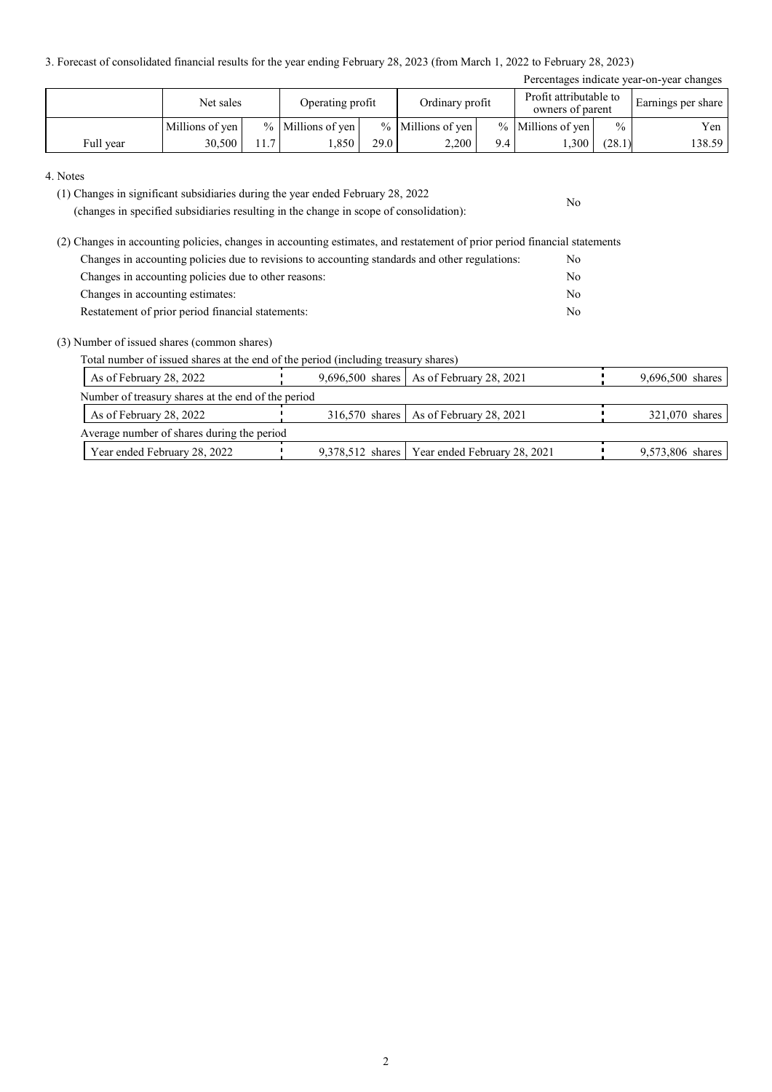3. Forecast of consolidated financial results for the year ending February 28, 2023 (from March 1, 2022 to February 28, 2023)

| Percentages indicate year-on-year changes |                 |      |                     |      |                     |     |                                            |               |                    |
|-------------------------------------------|-----------------|------|---------------------|------|---------------------|-----|--------------------------------------------|---------------|--------------------|
|                                           | Net sales       |      | Operating profit    |      | Ordinary profit     |     | Profit attributable to<br>owners of parent |               | Earnings per share |
|                                           | Millions of yen |      | $%$ Millions of yen |      | $%$ Millions of yen |     | % Millions of yen                          | $\frac{0}{0}$ | Yen                |
| Full year                                 | 30,500          | 11.7 | .850                | 29.0 | 2.200               | 9.4 | 1,300                                      | (28.1)        | 138.59             |

No

#### 4. Notes

(1) Changes in significant subsidiaries during the year ended February 28, 2022

(changes in specified subsidiaries resulting in the change in scope of consolidation):

(2) Changes in accounting policies, changes in accounting estimates, and restatement of prior period financial statements Changes in accounting policies due to revisions to accounting standards and other regulations: No Changes in accounting policies due to other reasons: No Changes in accounting estimates: No Restatement of prior period financial statements: No

### (3) Number of issued shares (common shares)

Total number of issued shares at the end of the period (including treasury shares)

| As of February 28, 2022                            |  | 9,696,500 shares   As of February 28, 2021      | 9,696,500 shares |  |  |  |  |  |
|----------------------------------------------------|--|-------------------------------------------------|------------------|--|--|--|--|--|
| Number of treasury shares at the end of the period |  |                                                 |                  |  |  |  |  |  |
| As of February 28, 2022                            |  | 316,570 shares   As of February 28, 2021        | 321,070 shares   |  |  |  |  |  |
| Average number of shares during the period         |  |                                                 |                  |  |  |  |  |  |
| Year ended February 28, 2022                       |  | 9,378,512 shares   Year ended February 28, 2021 | 9,573,806 shares |  |  |  |  |  |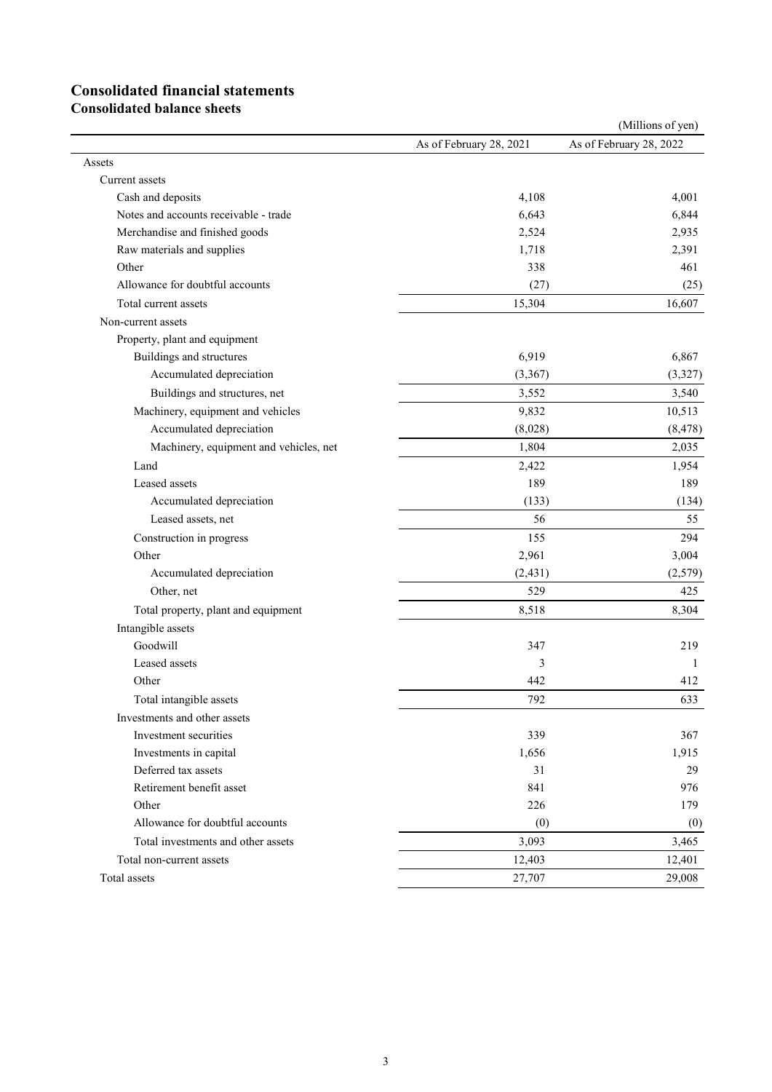# **Consolidated financial statements**

**Consolidated balance sheets**

|                                        |                         | (Millions of yen)       |
|----------------------------------------|-------------------------|-------------------------|
|                                        | As of February 28, 2021 | As of February 28, 2022 |
| Assets                                 |                         |                         |
| Current assets                         |                         |                         |
| Cash and deposits                      | 4,108                   | 4,001                   |
| Notes and accounts receivable - trade  | 6,643                   | 6,844                   |
| Merchandise and finished goods         | 2,524                   | 2,935                   |
| Raw materials and supplies             | 1,718                   | 2,391                   |
| Other                                  | 338                     | 461                     |
| Allowance for doubtful accounts        | (27)                    | (25)                    |
| Total current assets                   | 15,304                  | 16,607                  |
| Non-current assets                     |                         |                         |
| Property, plant and equipment          |                         |                         |
| Buildings and structures               | 6,919                   | 6,867                   |
| Accumulated depreciation               | (3,367)                 | (3, 327)                |
| Buildings and structures, net          | 3,552                   | 3,540                   |
| Machinery, equipment and vehicles      | 9,832                   | 10,513                  |
| Accumulated depreciation               | (8,028)                 | (8, 478)                |
| Machinery, equipment and vehicles, net | 1,804                   | 2,035                   |
| Land                                   | 2,422                   | 1,954                   |
| Leased assets                          | 189                     | 189                     |
| Accumulated depreciation               | (133)                   | (134)                   |
| Leased assets, net                     | 56                      | 55                      |
| Construction in progress               | 155                     | 294                     |
| Other                                  | 2,961                   | 3,004                   |
| Accumulated depreciation               | (2, 431)                | (2,579)                 |
| Other, net                             | 529                     | 425                     |
| Total property, plant and equipment    | 8,518                   | 8,304                   |
| Intangible assets                      |                         |                         |
| Goodwill                               | 347                     | 219                     |
| Leased assets                          | 3                       | 1                       |
| Other                                  | 442                     | 412                     |
| Total intangible assets                | 792                     | 633                     |
| Investments and other assets           |                         |                         |
| Investment securities                  | 339                     | 367                     |
| Investments in capital                 | 1,656                   | 1,915                   |
| Deferred tax assets                    | 31                      | 29                      |
| Retirement benefit asset               | 841                     | 976                     |
| Other                                  | 226                     | 179                     |
| Allowance for doubtful accounts        | (0)                     | (0)                     |
| Total investments and other assets     | 3,093                   | 3,465                   |
| Total non-current assets               | 12,403                  | 12,401                  |
| Total assets                           | 27,707                  | 29,008                  |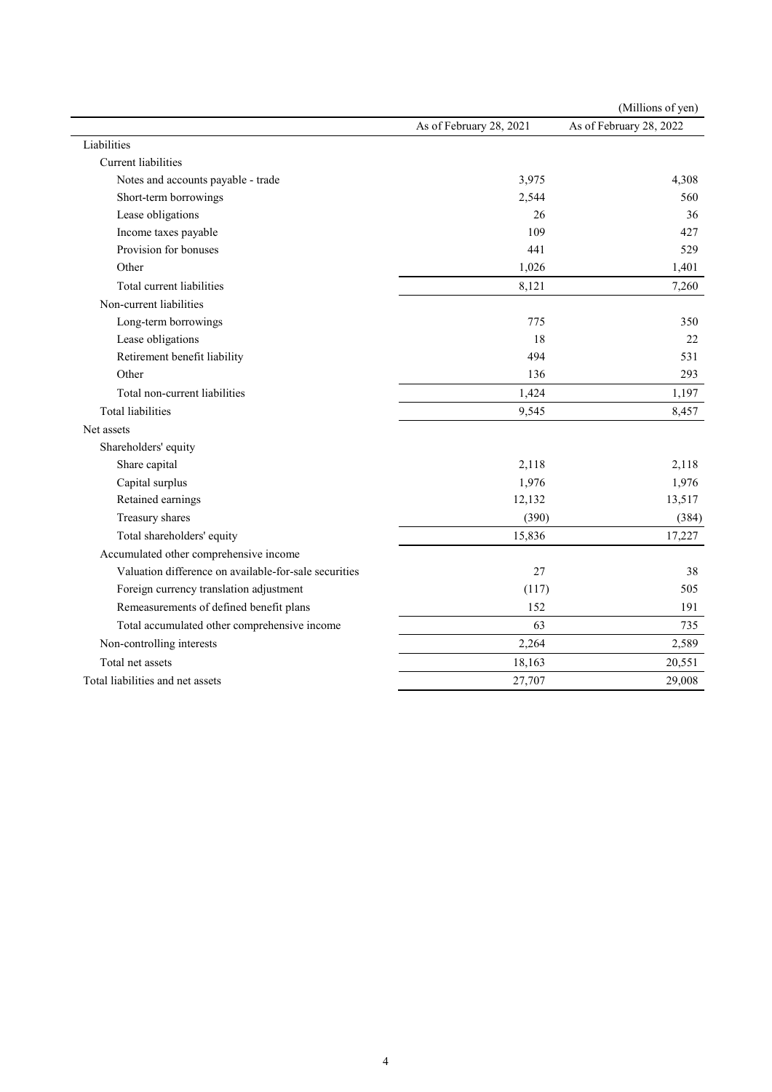|                                                       |                         | (Millions of yen)       |
|-------------------------------------------------------|-------------------------|-------------------------|
|                                                       | As of February 28, 2021 | As of February 28, 2022 |
| Liabilities                                           |                         |                         |
| <b>Current liabilities</b>                            |                         |                         |
| Notes and accounts payable - trade                    | 3,975                   | 4,308                   |
| Short-term borrowings                                 | 2,544                   | 560                     |
| Lease obligations                                     | 26                      | 36                      |
| Income taxes payable                                  | 109                     | 427                     |
| Provision for bonuses                                 | 441                     | 529                     |
| Other                                                 | 1,026                   | 1,401                   |
| Total current liabilities                             | 8,121                   | 7,260                   |
| Non-current liabilities                               |                         |                         |
| Long-term borrowings                                  | 775                     | 350                     |
| Lease obligations                                     | 18                      | 22                      |
| Retirement benefit liability                          | 494                     | 531                     |
| Other                                                 | 136                     | 293                     |
| Total non-current liabilities                         | 1,424                   | 1,197                   |
| <b>Total liabilities</b>                              | 9,545                   | 8,457                   |
| Net assets                                            |                         |                         |
| Shareholders' equity                                  |                         |                         |
| Share capital                                         | 2,118                   | 2,118                   |
| Capital surplus                                       | 1,976                   | 1,976                   |
| Retained earnings                                     | 12,132                  | 13,517                  |
| Treasury shares                                       | (390)                   | (384)                   |
| Total shareholders' equity                            | 15,836                  | 17,227                  |
| Accumulated other comprehensive income                |                         |                         |
| Valuation difference on available-for-sale securities | 27                      | 38                      |
| Foreign currency translation adjustment               | (117)                   | 505                     |
| Remeasurements of defined benefit plans               | 152                     | 191                     |
| Total accumulated other comprehensive income          | 63                      | 735                     |
| Non-controlling interests                             | 2,264                   | 2,589                   |
| Total net assets                                      | 18,163                  | 20,551                  |
| Total liabilities and net assets                      | 27,707                  | 29,008                  |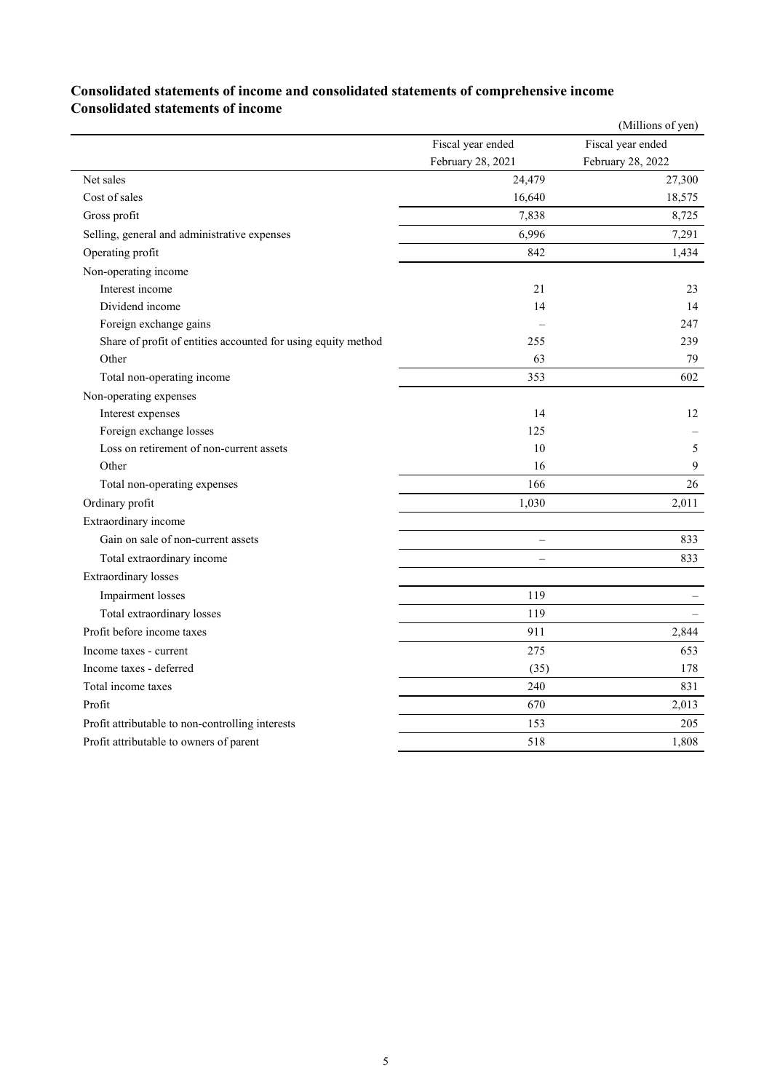## **Consolidated statements of income and consolidated statements of comprehensive income Consolidated statements of income**

|                                                               |                   | (Millions of yen) |
|---------------------------------------------------------------|-------------------|-------------------|
|                                                               | Fiscal year ended | Fiscal year ended |
|                                                               | February 28, 2021 | February 28, 2022 |
| Net sales                                                     | 24,479            | 27,300            |
| Cost of sales                                                 | 16,640            | 18,575            |
| Gross profit                                                  | 7,838             | 8,725             |
| Selling, general and administrative expenses                  | 6,996             | 7,291             |
| Operating profit                                              | 842               | 1,434             |
| Non-operating income                                          |                   |                   |
| Interest income                                               | 21                | 23                |
| Dividend income                                               | 14                | 14                |
| Foreign exchange gains                                        |                   | 247               |
| Share of profit of entities accounted for using equity method | 255               | 239               |
| Other                                                         | 63                | 79                |
| Total non-operating income                                    | 353               | 602               |
| Non-operating expenses                                        |                   |                   |
| Interest expenses                                             | 14                | 12                |
| Foreign exchange losses                                       | 125               |                   |
| Loss on retirement of non-current assets                      | 10                | 5                 |
| Other                                                         | 16                | 9                 |
| Total non-operating expenses                                  | 166               | 26                |
| Ordinary profit                                               | 1,030             | 2,011             |
| Extraordinary income                                          |                   |                   |
| Gain on sale of non-current assets                            |                   | 833               |
| Total extraordinary income                                    | $\overline{a}$    | 833               |
| <b>Extraordinary</b> losses                                   |                   |                   |
| Impairment losses                                             | 119               |                   |
| Total extraordinary losses                                    | 119               |                   |
| Profit before income taxes                                    | 911               | 2,844             |
| Income taxes - current                                        | 275               | 653               |
| Income taxes - deferred                                       | (35)              | 178               |
| Total income taxes                                            | 240               | 831               |
| Profit                                                        | 670               | 2,013             |
| Profit attributable to non-controlling interests              | 153               | 205               |
| Profit attributable to owners of parent                       | 518               | 1,808             |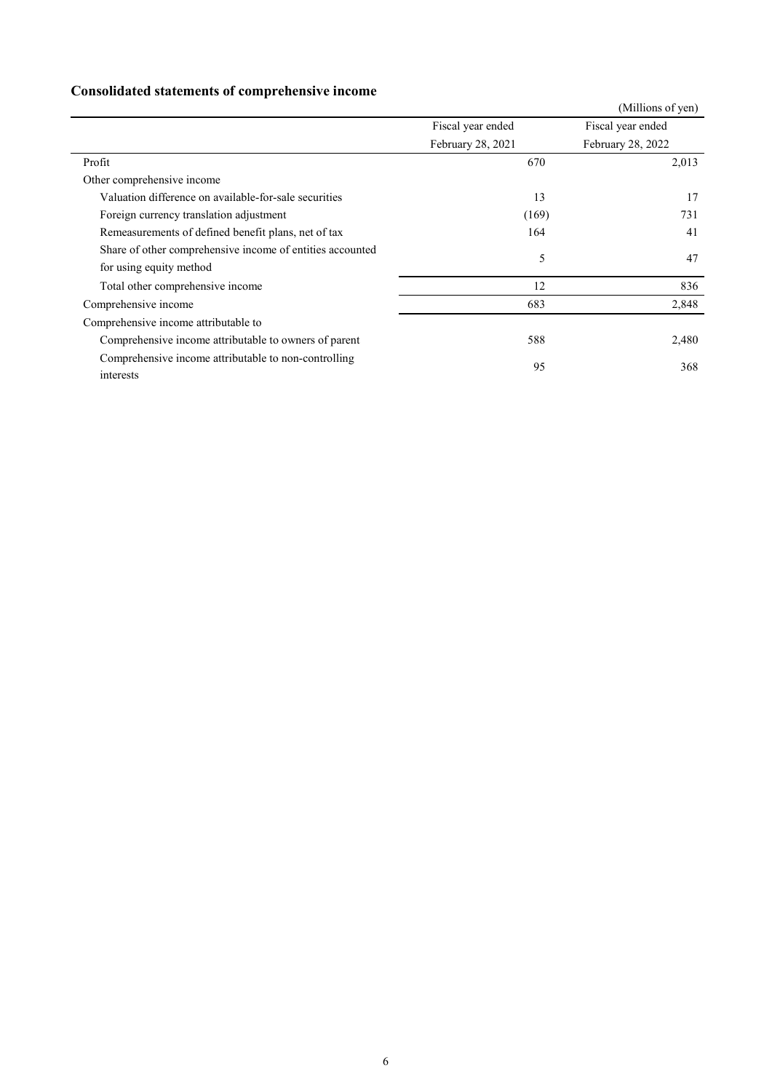# **Consolidated statements of comprehensive income**

|                                                           |                   | (Millions of yen) |  |
|-----------------------------------------------------------|-------------------|-------------------|--|
|                                                           | Fiscal year ended | Fiscal year ended |  |
|                                                           | February 28, 2021 | February 28, 2022 |  |
| Profit                                                    | 670               | 2,013             |  |
| Other comprehensive income                                |                   |                   |  |
| Valuation difference on available-for-sale securities     | 13                | 17                |  |
| Foreign currency translation adjustment                   | (169)             | 731               |  |
| Remeasurements of defined benefit plans, net of tax       | 164               | 41                |  |
| Share of other comprehensive income of entities accounted | 5                 | 47                |  |
| for using equity method                                   |                   |                   |  |
| Total other comprehensive income                          | 12                | 836               |  |
| Comprehensive income                                      | 683               | 2,848             |  |
| Comprehensive income attributable to                      |                   |                   |  |
| Comprehensive income attributable to owners of parent     | 588               | 2,480             |  |
| Comprehensive income attributable to non-controlling      |                   |                   |  |
| interests                                                 | 95                | 368               |  |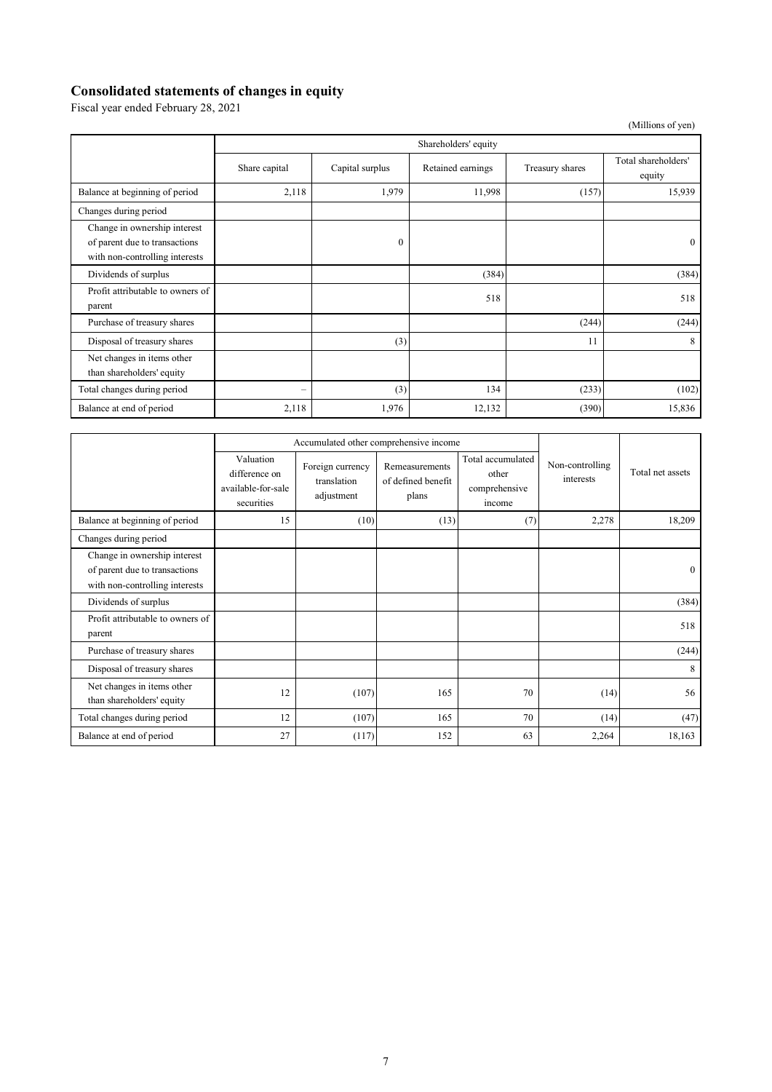### **Consolidated statements of changes in equity**

Fiscal year ended February 28, 2021

(Millions of yen)

|                                                                                                 | Shareholders' equity |                 |                   |                 |                               |
|-------------------------------------------------------------------------------------------------|----------------------|-----------------|-------------------|-----------------|-------------------------------|
|                                                                                                 | Share capital        | Capital surplus | Retained earnings | Treasury shares | Total shareholders'<br>equity |
| Balance at beginning of period                                                                  | 2,118                | 1,979           | 11,998            | (157)           | 15,939                        |
| Changes during period                                                                           |                      |                 |                   |                 |                               |
| Change in ownership interest<br>of parent due to transactions<br>with non-controlling interests |                      | $\theta$        |                   |                 | $\theta$                      |
| Dividends of surplus                                                                            |                      |                 | (384)             |                 | (384)                         |
| Profit attributable to owners of<br>parent                                                      |                      |                 | 518               |                 | 518                           |
| Purchase of treasury shares                                                                     |                      |                 |                   | (244)           | (244)                         |
| Disposal of treasury shares                                                                     |                      | (3)             |                   | 11              | 8                             |
| Net changes in items other<br>than shareholders' equity                                         |                      |                 |                   |                 |                               |
| Total changes during period                                                                     |                      | (3)             | 134               | (233)           | (102)                         |
| Balance at end of period                                                                        | 2,118                | 1,976           | 12,132            | (390)           | 15,836                        |

|                                                                                                 | Accumulated other comprehensive income                         |                                               |                                               |                                                       |                              |                  |
|-------------------------------------------------------------------------------------------------|----------------------------------------------------------------|-----------------------------------------------|-----------------------------------------------|-------------------------------------------------------|------------------------------|------------------|
|                                                                                                 | Valuation<br>difference on<br>available-for-sale<br>securities | Foreign currency<br>translation<br>adjustment | Remeasurements<br>of defined benefit<br>plans | Total accumulated<br>other<br>comprehensive<br>income | Non-controlling<br>interests | Total net assets |
| Balance at beginning of period                                                                  | 15                                                             | (10)                                          | (13)                                          | (7)                                                   | 2,278                        | 18,209           |
| Changes during period                                                                           |                                                                |                                               |                                               |                                                       |                              |                  |
| Change in ownership interest<br>of parent due to transactions<br>with non-controlling interests |                                                                |                                               |                                               |                                                       |                              | $\mathbf{0}$     |
| Dividends of surplus                                                                            |                                                                |                                               |                                               |                                                       |                              | (384)            |
| Profit attributable to owners of<br>parent                                                      |                                                                |                                               |                                               |                                                       |                              | 518              |
| Purchase of treasury shares                                                                     |                                                                |                                               |                                               |                                                       |                              | (244)            |
| Disposal of treasury shares                                                                     |                                                                |                                               |                                               |                                                       |                              | 8                |
| Net changes in items other<br>than shareholders' equity                                         | 12                                                             | (107)                                         | 165                                           | 70                                                    | (14)                         | 56               |
| Total changes during period                                                                     | 12                                                             | (107)                                         | 165                                           | 70                                                    | (14)                         | (47)             |
| Balance at end of period                                                                        | 27                                                             | (117)                                         | 152                                           | 63                                                    | 2,264                        | 18,163           |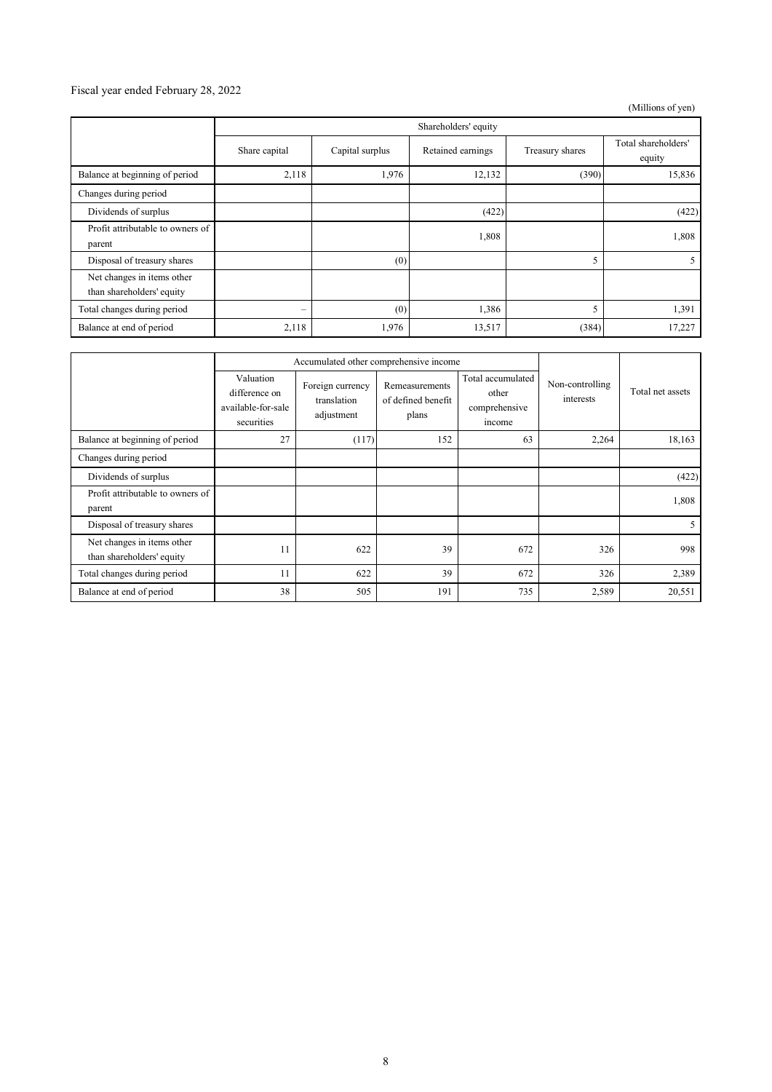### Fiscal year ended February 28, 2022

(Millions of yen)

|                                                         | Shareholders' equity |                 |                   |                 |                               |
|---------------------------------------------------------|----------------------|-----------------|-------------------|-----------------|-------------------------------|
|                                                         | Share capital        | Capital surplus | Retained earnings | Treasury shares | Total shareholders'<br>equity |
| Balance at beginning of period                          | 2,118                | 1,976           | 12,132            | (390)           | 15,836                        |
| Changes during period                                   |                      |                 |                   |                 |                               |
| Dividends of surplus                                    |                      |                 | (422)             |                 | (422)                         |
| Profit attributable to owners of<br>parent              |                      |                 | 1,808             |                 | 1,808                         |
| Disposal of treasury shares                             |                      | (0)             |                   | 5               |                               |
| Net changes in items other<br>than shareholders' equity |                      |                 |                   |                 |                               |
| Total changes during period                             | -                    | (0)             | 1,386             | 5               | 1,391                         |
| Balance at end of period                                | 2,118                | 1,976           | 13,517            | (384)           | 17,227                        |

|                                                         |                                                                | Accumulated other comprehensive income        |                                               |                                                       |                              |                  |
|---------------------------------------------------------|----------------------------------------------------------------|-----------------------------------------------|-----------------------------------------------|-------------------------------------------------------|------------------------------|------------------|
|                                                         | Valuation<br>difference on<br>available-for-sale<br>securities | Foreign currency<br>translation<br>adjustment | Remeasurements<br>of defined benefit<br>plans | Total accumulated<br>other<br>comprehensive<br>income | Non-controlling<br>interests | Total net assets |
| Balance at beginning of period                          | 27                                                             | (117)                                         | 152                                           | 63                                                    | 2,264                        | 18,163           |
| Changes during period                                   |                                                                |                                               |                                               |                                                       |                              |                  |
| Dividends of surplus                                    |                                                                |                                               |                                               |                                                       |                              | (422)            |
| Profit attributable to owners of<br>parent              |                                                                |                                               |                                               |                                                       |                              | 1,808            |
| Disposal of treasury shares                             |                                                                |                                               |                                               |                                                       |                              | 5                |
| Net changes in items other<br>than shareholders' equity | 11                                                             | 622                                           | 39                                            | 672                                                   | 326                          | 998              |
| Total changes during period                             | 11                                                             | 622                                           | 39                                            | 672                                                   | 326                          | 2,389            |
| Balance at end of period                                | 38                                                             | 505                                           | 191                                           | 735                                                   | 2,589                        | 20,551           |